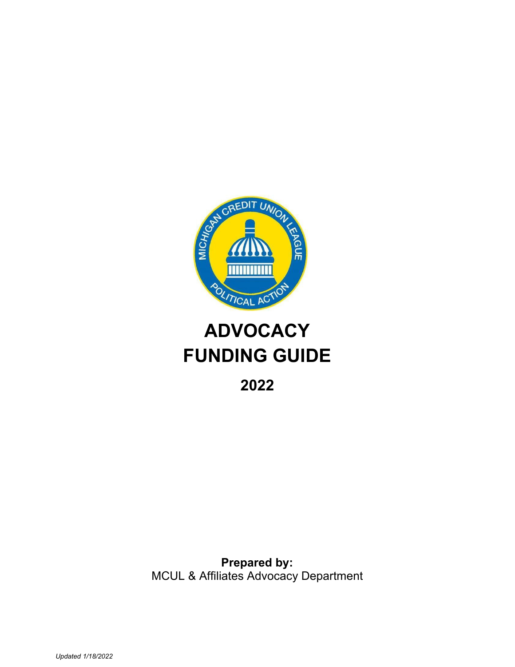

# **ADVOCACY FUNDING GUIDE**

**2022**

**Prepared by:** MCUL & Affiliates Advocacy Department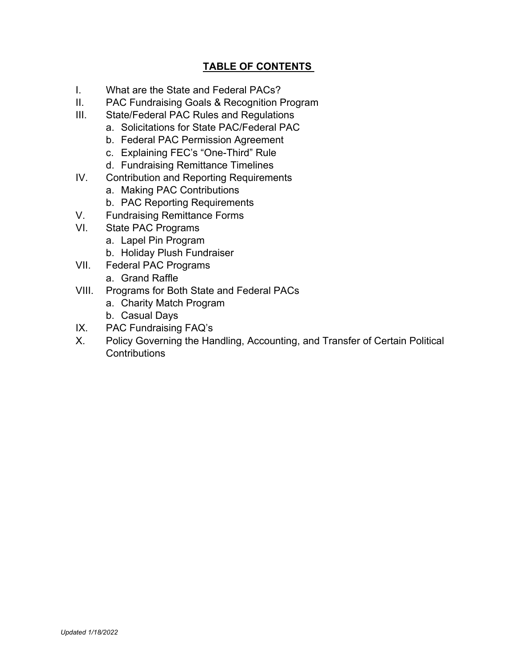# **TABLE OF CONTENTS**

- I. What are the State and Federal PACs?
- II. PAC Fundraising Goals & Recognition Program
- III. State/Federal PAC Rules and Regulations
	- a. Solicitations for State PAC/Federal PAC
	- b. Federal PAC Permission Agreement
	- c. Explaining FEC's "One-Third" Rule
	- d. Fundraising Remittance Timelines
- IV. Contribution and Reporting Requirements
	- a. Making PAC Contributions
	- b. PAC Reporting Requirements
- V. Fundraising Remittance Forms
- VI. State PAC Programs
	- a. Lapel Pin Program
	- b. Holiday Plush Fundraiser
- VII. Federal PAC Programs
	- a. Grand Raffle
- VIII. Programs for Both State and Federal PACs
	- a. Charity Match Program
	- b. Casual Days
- IX. PAC Fundraising FAQ's
- X. Policy Governing the Handling, Accounting, and Transfer of Certain Political **Contributions**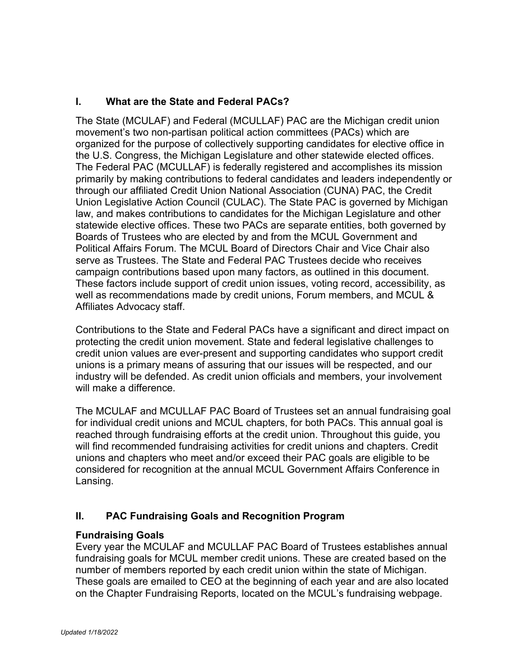# **I. What are the State and Federal PACs?**

The State (MCULAF) and Federal (MCULLAF) PAC are the Michigan credit union movement's two non-partisan political action committees (PACs) which are organized for the purpose of collectively supporting candidates for elective office in the U.S. Congress, the Michigan Legislature and other statewide elected offices. The Federal PAC (MCULLAF) is federally registered and accomplishes its mission primarily by making contributions to federal candidates and leaders independently or through our affiliated Credit Union National Association (CUNA) PAC, the Credit Union Legislative Action Council (CULAC). The State PAC is governed by Michigan law, and makes contributions to candidates for the Michigan Legislature and other statewide elective offices. These two PACs are separate entities, both governed by Boards of Trustees who are elected by and from the MCUL Government and Political Affairs Forum. The MCUL Board of Directors Chair and Vice Chair also serve as Trustees. The State and Federal PAC Trustees decide who receives campaign contributions based upon many factors, as outlined in this document. These factors include support of credit union issues, voting record, accessibility, as well as recommendations made by credit unions, Forum members, and MCUL & Affiliates Advocacy staff.

Contributions to the State and Federal PACs have a significant and direct impact on protecting the credit union movement. State and federal legislative challenges to credit union values are ever-present and supporting candidates who support credit unions is a primary means of assuring that our issues will be respected, and our industry will be defended. As credit union officials and members, your involvement will make a difference.

The MCULAF and MCULLAF PAC Board of Trustees set an annual fundraising goal for individual credit unions and MCUL chapters, for both PACs. This annual goal is reached through fundraising efforts at the credit union. Throughout this guide, you will find recommended fundraising activities for credit unions and chapters. Credit unions and chapters who meet and/or exceed their PAC goals are eligible to be considered for recognition at the annual MCUL Government Affairs Conference in Lansing.

# **II. PAC Fundraising Goals and Recognition Program**

#### **Fundraising Goals**

Every year the MCULAF and MCULLAF PAC Board of Trustees establishes annual fundraising goals for MCUL member credit unions. These are created based on the number of members reported by each credit union within the state of Michigan. These goals are emailed to CEO at the beginning of each year and are also located on the Chapter Fundraising Reports, located on the MCUL's fundraising webpage.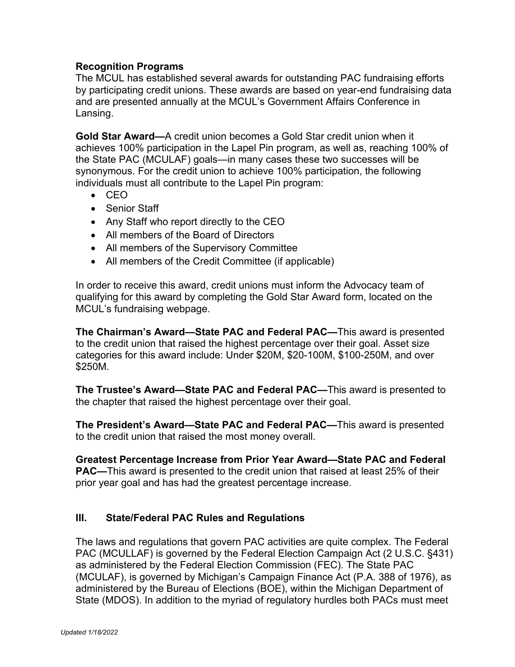### **Recognition Programs**

The MCUL has established several awards for outstanding PAC fundraising efforts by participating credit unions. These awards are based on year-end fundraising data and are presented annually at the MCUL's Government Affairs Conference in Lansing.

**Gold Star Award—**A credit union becomes a Gold Star credit union when it achieves 100% participation in the Lapel Pin program, as well as, reaching 100% of the State PAC (MCULAF) goals—in many cases these two successes will be synonymous. For the credit union to achieve 100% participation, the following individuals must all contribute to the Lapel Pin program:

- CEO
- Senior Staff
- Any Staff who report directly to the CEO
- All members of the Board of Directors
- All members of the Supervisory Committee
- All members of the Credit Committee (if applicable)

In order to receive this award, credit unions must inform the Advocacy team of qualifying for this award by completing the Gold Star Award form, located on the MCUL's fundraising webpage.

**The Chairman's Award—State PAC and Federal PAC—**This award is presented to the credit union that raised the highest percentage over their goal. Asset size categories for this award include: Under \$20M, \$20-100M, \$100-250M, and over \$250M.

**The Trustee's Award—State PAC and Federal PAC—**This award is presented to the chapter that raised the highest percentage over their goal.

**The President's Award—State PAC and Federal PAC—**This award is presented to the credit union that raised the most money overall.

**Greatest Percentage Increase from Prior Year Award—State PAC and Federal PAC—**This award is presented to the credit union that raised at least 25% of their prior year goal and has had the greatest percentage increase.

# **III. State/Federal PAC Rules and Regulations**

The laws and regulations that govern PAC activities are quite complex. The Federal PAC (MCULLAF) is governed by the Federal Election Campaign Act (2 U.S.C. §431) as administered by the Federal Election Commission (FEC). The State PAC (MCULAF), is governed by Michigan's Campaign Finance Act (P.A. 388 of 1976), as administered by the Bureau of Elections (BOE), within the Michigan Department of State (MDOS). In addition to the myriad of regulatory hurdles both PACs must meet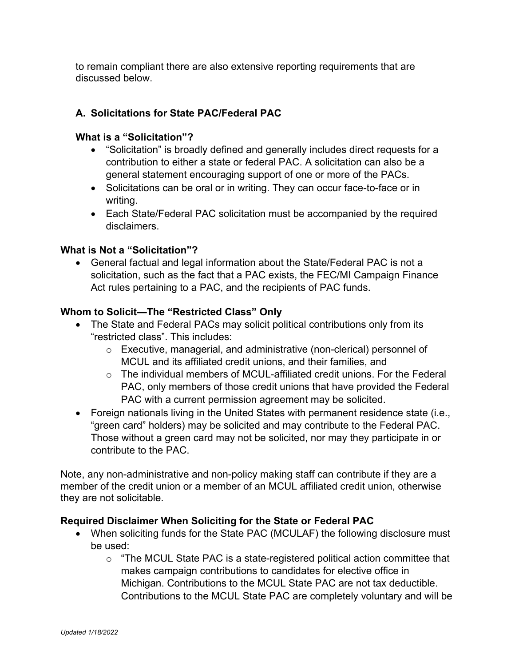to remain compliant there are also extensive reporting requirements that are discussed below.

# **A. Solicitations for State PAC/Federal PAC**

#### **What is a "Solicitation"?**

- "Solicitation" is broadly defined and generally includes direct requests for a contribution to either a state or federal PAC. A solicitation can also be a general statement encouraging support of one or more of the PACs.
- Solicitations can be oral or in writing. They can occur face-to-face or in writing.
- Each State/Federal PAC solicitation must be accompanied by the required disclaimers.

### **What is Not a "Solicitation"?**

• General factual and legal information about the State/Federal PAC is not a solicitation, such as the fact that a PAC exists, the FEC/MI Campaign Finance Act rules pertaining to a PAC, and the recipients of PAC funds.

### **Whom to Solicit—The "Restricted Class" Only**

- The State and Federal PACs may solicit political contributions only from its "restricted class". This includes:
	- o Executive, managerial, and administrative (non-clerical) personnel of MCUL and its affiliated credit unions, and their families, and
	- $\circ$  The individual members of MCUL-affiliated credit unions. For the Federal PAC, only members of those credit unions that have provided the Federal PAC with a current permission agreement may be solicited.
- Foreign nationals living in the United States with permanent residence state (i.e., "green card" holders) may be solicited and may contribute to the Federal PAC. Those without a green card may not be solicited, nor may they participate in or contribute to the PAC.

Note, any non-administrative and non-policy making staff can contribute if they are a member of the credit union or a member of an MCUL affiliated credit union, otherwise they are not solicitable.

#### **Required Disclaimer When Soliciting for the State or Federal PAC**

- When soliciting funds for the State PAC (MCULAF) the following disclosure must be used:
	- o "The MCUL State PAC is a state-registered political action committee that makes campaign contributions to candidates for elective office in Michigan. Contributions to the MCUL State PAC are not tax deductible. Contributions to the MCUL State PAC are completely voluntary and will be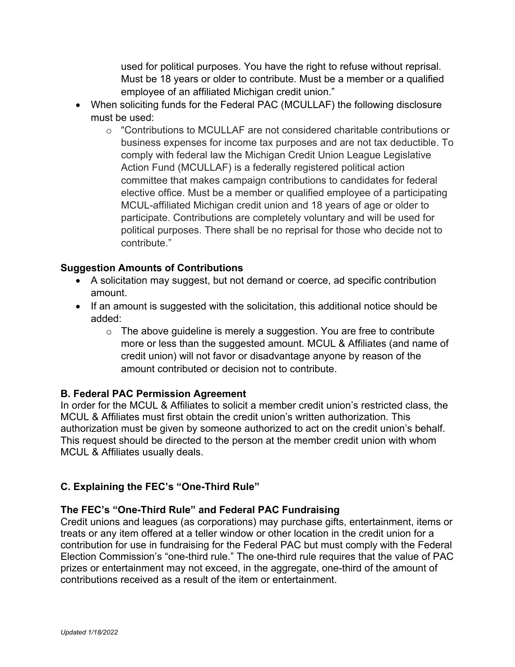used for political purposes. You have the right to refuse without reprisal. Must be 18 years or older to contribute. Must be a member or a qualified employee of an affiliated Michigan credit union."

- When soliciting funds for the Federal PAC (MCULLAF) the following disclosure must be used:
	- o "Contributions to MCULLAF are not considered charitable contributions or business expenses for income tax purposes and are not tax deductible. To comply with federal law the Michigan Credit Union League Legislative Action Fund (MCULLAF) is a federally registered political action committee that makes campaign contributions to candidates for federal elective office. Must be a member or qualified employee of a participating MCUL-affiliated Michigan credit union and 18 years of age or older to participate. Contributions are completely voluntary and will be used for political purposes. There shall be no reprisal for those who decide not to contribute."

### **Suggestion Amounts of Contributions**

- A solicitation may suggest, but not demand or coerce, ad specific contribution amount.
- If an amount is suggested with the solicitation, this additional notice should be added:
	- $\circ$  The above guideline is merely a suggestion. You are free to contribute more or less than the suggested amount. MCUL & Affiliates (and name of credit union) will not favor or disadvantage anyone by reason of the amount contributed or decision not to contribute.

# **B. Federal PAC Permission Agreement**

In order for the MCUL & Affiliates to solicit a member credit union's restricted class, the MCUL & Affiliates must first obtain the credit union's written authorization. This authorization must be given by someone authorized to act on the credit union's behalf. This request should be directed to the person at the member credit union with whom MCUL & Affiliates usually deals.

# **C. Explaining the FEC's "One-Third Rule"**

# **The FEC's "One-Third Rule" and Federal PAC Fundraising**

Credit unions and leagues (as corporations) may purchase gifts, entertainment, items or treats or any item offered at a teller window or other location in the credit union for a contribution for use in fundraising for the Federal PAC but must comply with the Federal Election Commission's "one-third rule." The one-third rule requires that the value of PAC prizes or entertainment may not exceed, in the aggregate, one-third of the amount of contributions received as a result of the item or entertainment.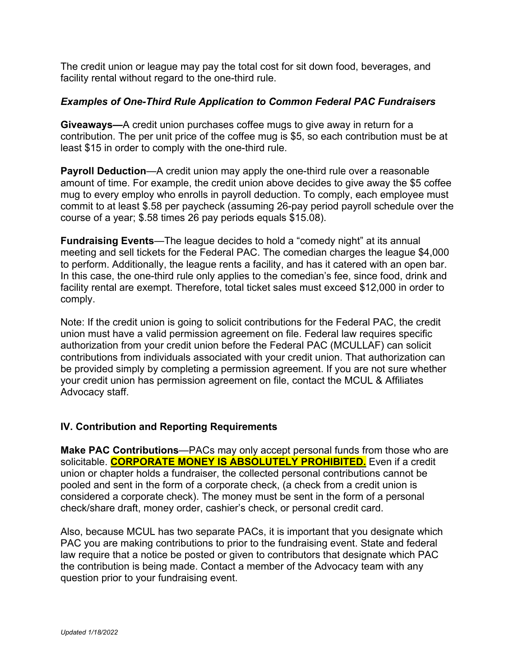The credit union or league may pay the total cost for sit down food, beverages, and facility rental without regard to the one-third rule.

#### *Examples of One-Third Rule Application to Common Federal PAC Fundraisers*

**Giveaways—**A credit union purchases coffee mugs to give away in return for a contribution. The per unit price of the coffee mug is \$5, so each contribution must be at least \$15 in order to comply with the one-third rule.

**Payroll Deduction**—A credit union may apply the one-third rule over a reasonable amount of time. For example, the credit union above decides to give away the \$5 coffee mug to every employ who enrolls in payroll deduction. To comply, each employee must commit to at least \$.58 per paycheck (assuming 26-pay period payroll schedule over the course of a year; \$.58 times 26 pay periods equals \$15.08).

**Fundraising Events**—The league decides to hold a "comedy night" at its annual meeting and sell tickets for the Federal PAC. The comedian charges the league \$4,000 to perform. Additionally, the league rents a facility, and has it catered with an open bar. In this case, the one-third rule only applies to the comedian's fee, since food, drink and facility rental are exempt. Therefore, total ticket sales must exceed \$12,000 in order to comply.

Note: If the credit union is going to solicit contributions for the Federal PAC, the credit union must have a valid permission agreement on file. Federal law requires specific authorization from your credit union before the Federal PAC (MCULLAF) can solicit contributions from individuals associated with your credit union. That authorization can be provided simply by completing a permission agreement. If you are not sure whether your credit union has permission agreement on file, contact the MCUL & Affiliates Advocacy staff.

# **IV. Contribution and Reporting Requirements**

**Make PAC Contributions**—PACs may only accept personal funds from those who are solicitable. **CORPORATE MONEY IS ABSOLUTELY PROHIBITED.** Even if a credit union or chapter holds a fundraiser, the collected personal contributions cannot be pooled and sent in the form of a corporate check, (a check from a credit union is considered a corporate check). The money must be sent in the form of a personal check/share draft, money order, cashier's check, or personal credit card.

Also, because MCUL has two separate PACs, it is important that you designate which PAC you are making contributions to prior to the fundraising event. State and federal law require that a notice be posted or given to contributors that designate which PAC the contribution is being made. Contact a member of the Advocacy team with any question prior to your fundraising event.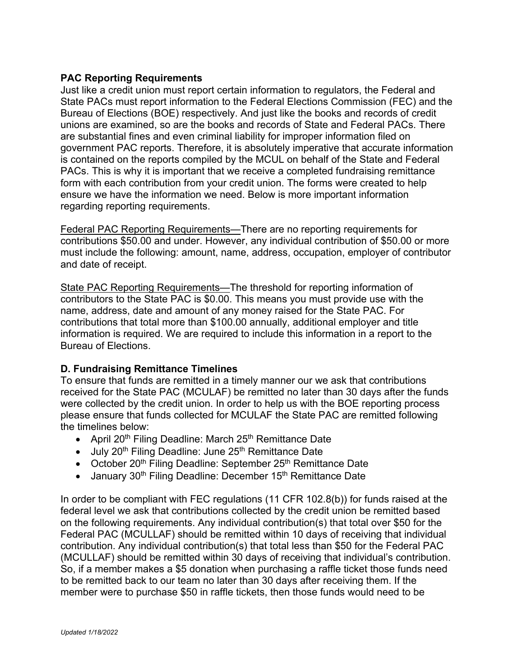### **PAC Reporting Requirements**

Just like a credit union must report certain information to regulators, the Federal and State PACs must report information to the Federal Elections Commission (FEC) and the Bureau of Elections (BOE) respectively. And just like the books and records of credit unions are examined, so are the books and records of State and Federal PACs. There are substantial fines and even criminal liability for improper information filed on government PAC reports. Therefore, it is absolutely imperative that accurate information is contained on the reports compiled by the MCUL on behalf of the State and Federal PACs. This is why it is important that we receive a completed fundraising remittance form with each contribution from your credit union. The forms were created to help ensure we have the information we need. Below is more important information regarding reporting requirements.

Federal PAC Reporting Requirements—There are no reporting requirements for contributions \$50.00 and under. However, any individual contribution of \$50.00 or more must include the following: amount, name, address, occupation, employer of contributor and date of receipt.

State PAC Reporting Requirements—The threshold for reporting information of contributors to the State PAC is \$0.00. This means you must provide use with the name, address, date and amount of any money raised for the State PAC. For contributions that total more than \$100.00 annually, additional employer and title information is required. We are required to include this information in a report to the Bureau of Elections.

#### **D. Fundraising Remittance Timelines**

To ensure that funds are remitted in a timely manner our we ask that contributions received for the State PAC (MCULAF) be remitted no later than 30 days after the funds were collected by the credit union. In order to help us with the BOE reporting process please ensure that funds collected for MCULAF the State PAC are remitted following the timelines below:

- April 20<sup>th</sup> Filing Deadline: March 25<sup>th</sup> Remittance Date
- July 20<sup>th</sup> Filing Deadline: June 25<sup>th</sup> Remittance Date
- October 20<sup>th</sup> Filing Deadline: September 25<sup>th</sup> Remittance Date
- January  $30<sup>th</sup>$  Filing Deadline: December 15<sup>th</sup> Remittance Date

In order to be compliant with FEC regulations (11 CFR 102.8(b)) for funds raised at the federal level we ask that contributions collected by the credit union be remitted based on the following requirements. Any individual contribution(s) that total over \$50 for the Federal PAC (MCULLAF) should be remitted within 10 days of receiving that individual contribution. Any individual contribution(s) that total less than \$50 for the Federal PAC (MCULLAF) should be remitted within 30 days of receiving that individual's contribution. So, if a member makes a \$5 donation when purchasing a raffle ticket those funds need to be remitted back to our team no later than 30 days after receiving them. If the member were to purchase \$50 in raffle tickets, then those funds would need to be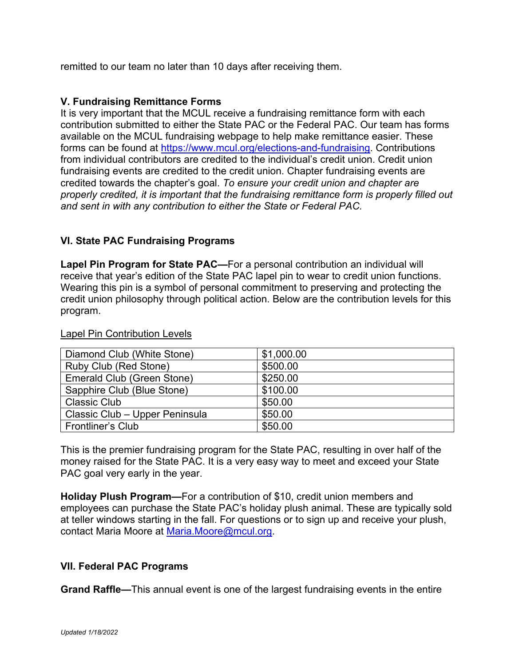remitted to our team no later than 10 days after receiving them.

#### **V. Fundraising Remittance Forms**

It is very important that the MCUL receive a fundraising remittance form with each contribution submitted to either the State PAC or the Federal PAC. Our team has forms available on the MCUL fundraising webpage to help make remittance easier. These forms can be found at [https://www.mcul.org/elections-and-fundraising.](https://www.mcul.org/elections-and-fundraising) Contributions from individual contributors are credited to the individual's credit union. Credit union fundraising events are credited to the credit union. Chapter fundraising events are credited towards the chapter's goal. *To ensure your credit union and chapter are properly credited, it is important that the fundraising remittance form is properly filled out and sent in with any contribution to either the State or Federal PAC.* 

### **VI. State PAC Fundraising Programs**

**Lapel Pin Program for State PAC—**For a personal contribution an individual will receive that year's edition of the State PAC lapel pin to wear to credit union functions. Wearing this pin is a symbol of personal commitment to preserving and protecting the credit union philosophy through political action. Below are the contribution levels for this program.

# Lapel Pin Contribution Levels

| Diamond Club (White Stone)     | \$1,000.00 |
|--------------------------------|------------|
| Ruby Club (Red Stone)          | \$500.00   |
| Emerald Club (Green Stone)     | \$250.00   |
| Sapphire Club (Blue Stone)     | \$100.00   |
| <b>Classic Club</b>            | \$50.00    |
| Classic Club - Upper Peninsula | \$50.00    |
| <b>Frontliner's Club</b>       | \$50.00    |

This is the premier fundraising program for the State PAC, resulting in over half of the money raised for the State PAC. It is a very easy way to meet and exceed your State PAC goal very early in the year.

**Holiday Plush Program—**For a contribution of \$10, credit union members and employees can purchase the State PAC's holiday plush animal. These are typically sold at teller windows starting in the fall. For questions or to sign up and receive your plush, contact Maria Moore at [Maria.Moore@mcul.org.](mailto:Maria.Moore@mcul.org)

#### **VII. Federal PAC Programs**

**Grand Raffle—**This annual event is one of the largest fundraising events in the entire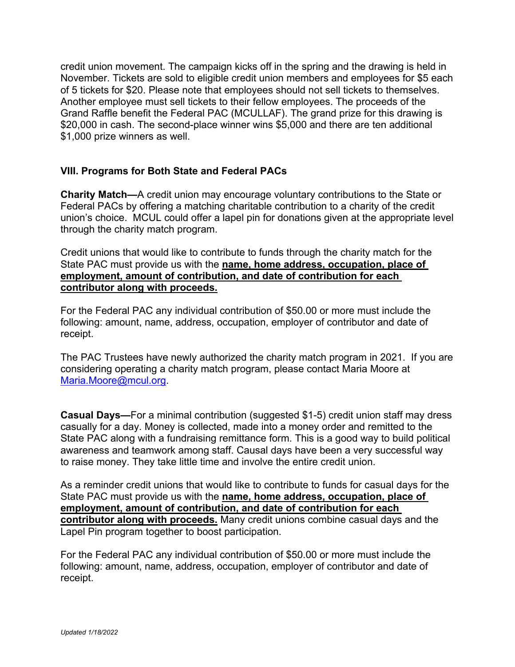credit union movement. The campaign kicks off in the spring and the drawing is held in November. Tickets are sold to eligible credit union members and employees for \$5 each of 5 tickets for \$20. Please note that employees should not sell tickets to themselves. Another employee must sell tickets to their fellow employees. The proceeds of the Grand Raffle benefit the Federal PAC (MCULLAF). The grand prize for this drawing is \$20,000 in cash. The second-place winner wins \$5,000 and there are ten additional \$1,000 prize winners as well.

### **VIII. Programs for Both State and Federal PACs**

**Charity Match—**A credit union may encourage voluntary contributions to the State or Federal PACs by offering a matching charitable contribution to a charity of the credit union's choice. MCUL could offer a lapel pin for donations given at the appropriate level through the charity match program.

Credit unions that would like to contribute to funds through the charity match for the State PAC must provide us with the **name, home address, occupation, place of employment, amount of contribution, and date of contribution for each contributor along with proceeds.**

For the Federal PAC any individual contribution of \$50.00 or more must include the following: amount, name, address, occupation, employer of contributor and date of receipt.

The PAC Trustees have newly authorized the charity match program in 2021. If you are considering operating a charity match program, please contact Maria Moore at [Maria.Moore@mcul.org.](mailto:Maria.Moore@mcul.org)

**Casual Days—**For a minimal contribution (suggested \$1-5) credit union staff may dress casually for a day. Money is collected, made into a money order and remitted to the State PAC along with a fundraising remittance form. This is a good way to build political awareness and teamwork among staff. Causal days have been a very successful way to raise money. They take little time and involve the entire credit union.

As a reminder credit unions that would like to contribute to funds for casual days for the State PAC must provide us with the **name, home address, occupation, place of employment, amount of contribution, and date of contribution for each contributor along with proceeds.** Many credit unions combine casual days and the Lapel Pin program together to boost participation.

For the Federal PAC any individual contribution of \$50.00 or more must include the following: amount, name, address, occupation, employer of contributor and date of receipt.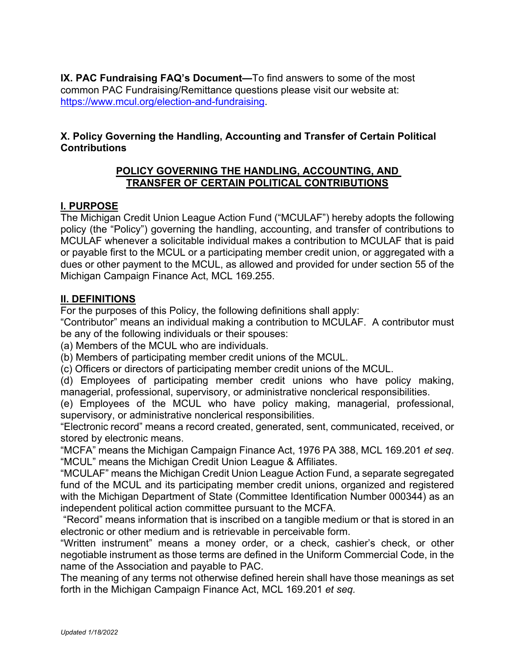**IX. PAC Fundraising FAQ's Document—**To find answers to some of the most common PAC Fundraising/Remittance questions please visit our website at: [https://www.mcul.org/election-and-fundraising.](https://www.mcul.org/election-and-fundraising)

# **X. Policy Governing the Handling, Accounting and Transfer of Certain Political Contributions**

# **POLICY GOVERNING THE HANDLING, ACCOUNTING, AND TRANSFER OF CERTAIN POLITICAL CONTRIBUTIONS**

# **I. PURPOSE**

The Michigan Credit Union League Action Fund ("MCULAF") hereby adopts the following policy (the "Policy") governing the handling, accounting, and transfer of contributions to MCULAF whenever a solicitable individual makes a contribution to MCULAF that is paid or payable first to the MCUL or a participating member credit union, or aggregated with a dues or other payment to the MCUL, as allowed and provided for under section 55 of the Michigan Campaign Finance Act, MCL 169.255.

# **II. DEFINITIONS**

For the purposes of this Policy, the following definitions shall apply:

"Contributor" means an individual making a contribution to MCULAF. A contributor must be any of the following individuals or their spouses:

(a) Members of the MCUL who are individuals.

(b) Members of participating member credit unions of the MCUL.

(c) Officers or directors of participating member credit unions of the MCUL.

(d) Employees of participating member credit unions who have policy making, managerial, professional, supervisory, or administrative nonclerical responsibilities.

(e) Employees of the MCUL who have policy making, managerial, professional, supervisory, or administrative nonclerical responsibilities.

"Electronic record" means a record created, generated, sent, communicated, received, or stored by electronic means.

"MCFA" means the Michigan Campaign Finance Act, 1976 PA 388, MCL 169.201 *et seq*. "MCUL" means the Michigan Credit Union League & Affiliates.

"MCULAF" means the Michigan Credit Union League Action Fund, a separate segregated fund of the MCUL and its participating member credit unions, organized and registered with the Michigan Department of State (Committee Identification Number 000344) as an independent political action committee pursuant to the MCFA.

"Record" means information that is inscribed on a tangible medium or that is stored in an electronic or other medium and is retrievable in perceivable form.

"Written instrument" means a money order, or a check, cashier's check, or other negotiable instrument as those terms are defined in the Uniform Commercial Code, in the name of the Association and payable to PAC.

The meaning of any terms not otherwise defined herein shall have those meanings as set forth in the Michigan Campaign Finance Act, MCL 169.201 *et seq.*